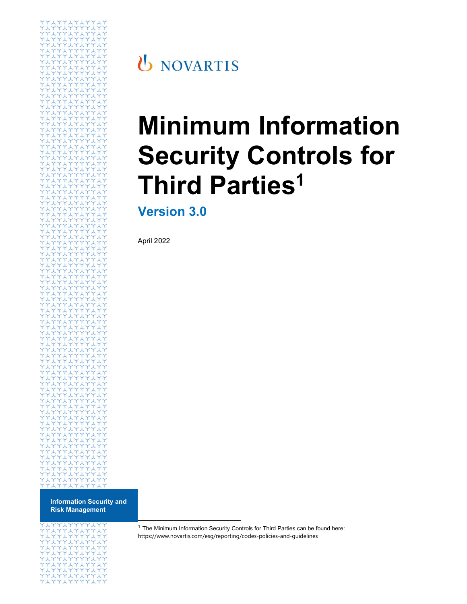

Information Security and Risk Management



**U** NOVARTIS

# Minimum Information Security Controls for **Third Parties<sup>1</sup>**

Version 3.0

April 2022

<sup>1</sup> The Minimum Information Security Controls for Third Parties can be found here: https://www.novartis.com/esg/reporting/codes-policies-and-guidelines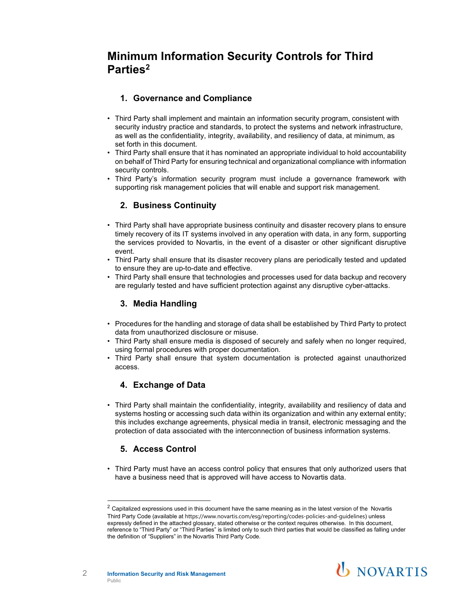# Minimum Information Security Controls for Third Parties2

### 1. Governance and Compliance

- Third Party shall implement and maintain an information security program, consistent with security industry practice and standards, to protect the systems and network infrastructure, as well as the confidentiality, integrity, availability, and resiliency of data, at minimum, as set forth in this document.
- Third Party shall ensure that it has nominated an appropriate individual to hold accountability on behalf of Third Party for ensuring technical and organizational compliance with information security controls.
- Third Party's information security program must include a governance framework with supporting risk management policies that will enable and support risk management.

#### 2. Business Continuity

- Third Party shall have appropriate business continuity and disaster recovery plans to ensure timely recovery of its IT systems involved in any operation with data, in any form, supporting the services provided to Novartis, in the event of a disaster or other significant disruptive event.
- Third Party shall ensure that its disaster recovery plans are periodically tested and updated to ensure they are up-to-date and effective.
- Third Party shall ensure that technologies and processes used for data backup and recovery are regularly tested and have sufficient protection against any disruptive cyber-attacks.

#### 3. Media Handling

- Procedures for the handling and storage of data shall be established by Third Party to protect data from unauthorized disclosure or misuse.
- Third Party shall ensure media is disposed of securely and safely when no longer required, using formal procedures with proper documentation.
- Third Party shall ensure that system documentation is protected against unauthorized access.

#### 4. Exchange of Data

• Third Party shall maintain the confidentiality, integrity, availability and resiliency of data and systems hosting or accessing such data within its organization and within any external entity; this includes exchange agreements, physical media in transit, electronic messaging and the protection of data associated with the interconnection of business information systems.

#### 5. Access Control

• Third Party must have an access control policy that ensures that only authorized users that have a business need that is approved will have access to Novartis data.<br> $\frac{1}{2}$  Capitalized expressions used in this document have the same meaning as in the latest version of the Novartis

Third Party Code (available at https://www.novartis.com/esg/reporting/codes-policies-and-guidelines) unless expressly defined in the attached glossary, stated otherwise or the context requires otherwise. In this document, reference to "Third Party" or "Third Parties" is limited only to such third parties that would be classified as falling under the definition of "Suppliers" in the Novartis Third Party Code.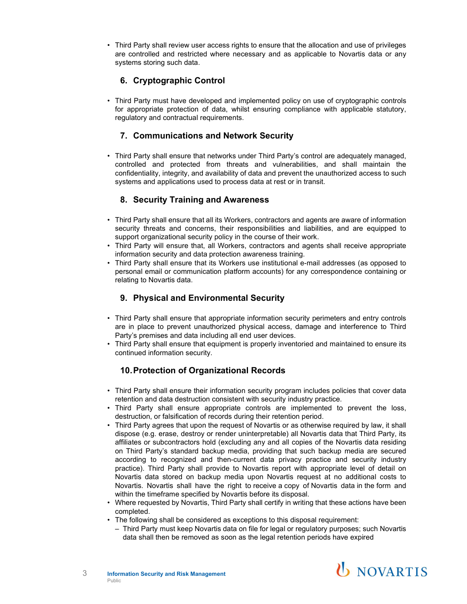• Third Party shall review user access rights to ensure that the allocation and use of privileges are controlled and restricted where necessary and as applicable to Novartis data or any systems storing such data.

# 6. Cryptographic Control

• Third Party must have developed and implemented policy on use of cryptographic controls for appropriate protection of data, whilst ensuring compliance with applicable statutory, regulatory and contractual requirements.

#### 7. Communications and Network Security

• Third Party shall ensure that networks under Third Party's control are adequately managed, controlled and protected from threats and vulnerabilities, and shall maintain the confidentiality, integrity, and availability of data and prevent the unauthorized access to such systems and applications used to process data at rest or in transit.

#### 8. Security Training and Awareness

- Third Party shall ensure that all its Workers, contractors and agents are aware of information security threats and concerns, their responsibilities and liabilities, and are equipped to support organizational security policy in the course of their work.
- Third Party will ensure that, all Workers, contractors and agents shall receive appropriate information security and data protection awareness training.
- Third Party shall ensure that its Workers use institutional e-mail addresses (as opposed to personal email or communication platform accounts) for any correspondence containing or relating to Novartis data.

# 9. Physical and Environmental Security

- Third Party shall ensure that appropriate information security perimeters and entry controls are in place to prevent unauthorized physical access, damage and interference to Third Party's premises and data including all end user devices.
- Third Party shall ensure that equipment is properly inventoried and maintained to ensure its continued information security.

#### 10. Protection of Organizational Records

- Third Party shall ensure their information security program includes policies that cover data retention and data destruction consistent with security industry practice.
- Third Party shall ensure appropriate controls are implemented to prevent the loss, destruction, or falsification of records during their retention period.
- Third Party agrees that upon the request of Novartis or as otherwise required by law, it shall dispose (e.g. erase, destroy or render uninterpretable) all Novartis data that Third Party, its affiliates or subcontractors hold (excluding any and all copies of the Novartis data residing on Third Party's standard backup media, providing that such backup media are secured according to recognized and then-current data privacy practice and security industry practice). Third Party shall provide to Novartis report with appropriate level of detail on Novartis data stored on backup media upon Novartis request at no additional costs to Novartis. Novartis shall have the right to receive a copy of Novartis data in the form and within the timeframe specified by Novartis before its disposal.
- Where requested by Novartis, Third Party shall certify in writing that these actions have been completed.
- The following shall be considered as exceptions to this disposal requirement:
	- Third Party must keep Novartis data on file for legal or regulatory purposes; such Novartis data shall then be removed as soon as the legal retention periods have expired